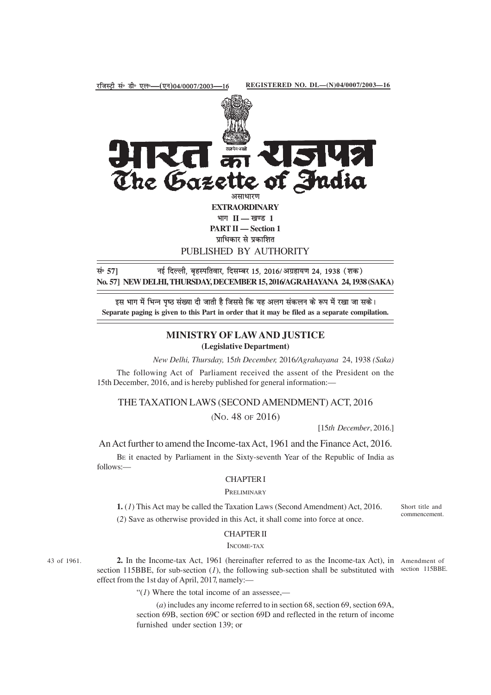

**EXTRAORDINARY** भाग $II -$ खण्ड 1

**PART II** - Section 1

प्राधिकार से प्रकाशित

PUBLISHED BY AUTHORITY

सं∘ 571 नई दिल्ली, बृहस्पतिवार, दिसम्बर 15, 2016/ अग्रहायण 24, 1938 (शक) No. 57] NEW DELHI, THURSDAY, DECEMBER 15, 2016/AGRAHAYANA 24, 1938 (SAKA)

इस भाग में भिन्न पृष्ठ संख्या दी जाती है जिससे कि यह अलग संकलन के रूप में रखा जा सके। Separate paging is given to this Part in order that it may be filed as a separate compilation.

## **MINISTRY OF LAW AND JUSTICE** (Legislative Department)

New Delhi, Thursday, 15th December, 2016/Agrahayana 24, 1938 (Saka)

The following Act of Parliament received the assent of the President on the 15th December, 2016, and is hereby published for general information:-

THE TAXATION LAWS (SECOND AMENDMENT) ACT, 2016

(No. 48 of 2016)

[15th December, 2016.]

An Act further to amend the Income-tax Act, 1961 and the Finance Act, 2016.

BE it enacted by Parliament in the Sixty-seventh Year of the Republic of India as follows:-

## **CHAPTER I**

## PRELIMINARY

1. (1) This Act may be called the Taxation Laws (Second Amendment) Act, 2016. (2) Save as otherwise provided in this Act, it shall come into force at once.

# **CHAPTER II**

## **INCOME-TAX**

43 of 1961.

2. In the Income-tax Act, 1961 (hereinafter referred to as the Income-tax Act), in Amendment of section 115BBE, for sub-section  $(I)$ , the following sub-section shall be substituted with effect from the 1st day of April, 2017, namely:—

" $(1)$  Where the total income of an assessee,—

(*a*) includes any income referred to in section 68, section 69, section 69A, section 69B, section 69C or section 69D and reflected in the return of income furnished under section 139; or

Short title and commencement.

section 115BBE.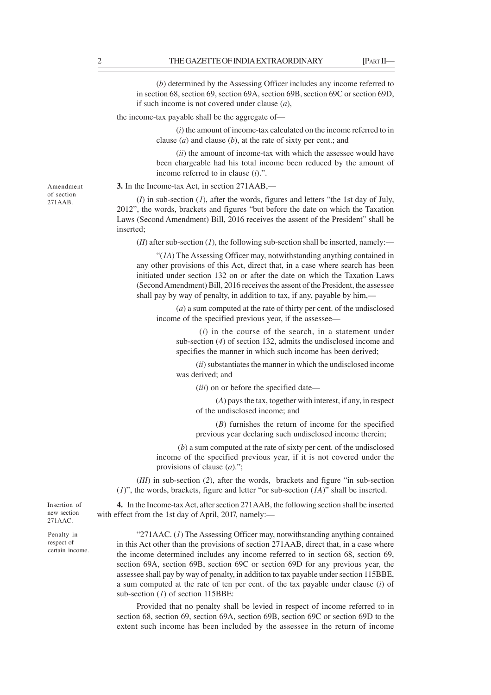(*b*) determined by the Assessing Officer includes any income referred to in section 68, section 69, section 69A, section 69B, section 69C or section 69D, if such income is not covered under clause (*a*),

the income-tax payable shall be the aggregate of—

(*i*) the amount of income-tax calculated on the income referred to in clause (*a*) and clause (*b*), at the rate of sixty per cent.; and

(*ii*) the amount of income-tax with which the assessee would have been chargeable had his total income been reduced by the amount of income referred to in clause (*i*).".

**3.** In the Income-tax Act, in section 271AAB,—

(*I*) in sub-section (*1*), after the words, figures and letters "the 1st day of July, 2012", the words, brackets and figures "but before the date on which the Taxation Laws (Second Amendment) Bill, 2016 receives the assent of the President" shall be inserted;

 $(II)$  after sub-section  $(I)$ , the following sub-section shall be inserted, namely:—

"(*1A*) The Assessing Officer may, notwithstanding anything contained in any other provisions of this Act, direct that, in a case where search has been initiated under section 132 on or after the date on which the Taxation Laws (Second Amendment) Bill, 2016 receives the assent of the President, the assessee shall pay by way of penalty, in addition to tax, if any, payable by him,—

(*a*) a sum computed at the rate of thirty per cent. of the undisclosed income of the specified previous year, if the assessee—

 (*i*) in the course of the search, in a statement under sub-section (*4*) of section 132, admits the undisclosed income and specifies the manner in which such income has been derived;

(*ii*) substantiates the manner in which the undisclosed income was derived; and

(*iii*) on or before the specified date—

(*A*) pays the tax, together with interest, if any, in respect of the undisclosed income; and

(*B*) furnishes the return of income for the specified previous year declaring such undisclosed income therein;

 (*b*) a sum computed at the rate of sixty per cent. of the undisclosed income of the specified previous year, if it is not covered under the provisions of clause (*a*).";

(*III*) in sub-section (*2*), after the words, brackets and figure "in sub-section (*1*)", the words, brackets, figure and letter "or sub-section (*1A*)" shall be inserted.

**4.** In the Income-tax Act, after section 271AAB, the following section shall be inserted with effect from the 1st day of April, 2017, namely:—

"271AAC. (*1*) The Assessing Officer may, notwithstanding anything contained in this Act other than the provisions of section 271AAB, direct that, in a case where the income determined includes any income referred to in section 68, section 69, section 69A, section 69B, section 69C or section 69D for any previous year, the assessee shall pay by way of penalty, in addition to tax payable under section 115BBE, a sum computed at the rate of ten per cent. of the tax payable under clause (*i*) of sub-section (*l*) of section 115BBE:

Provided that no penalty shall be levied in respect of income referred to in section 68, section 69, section 69A, section 69B, section 69C or section 69D to the extent such income has been included by the assessee in the return of income

Amendment of section 271AAB.

Penalty in respect of certain income.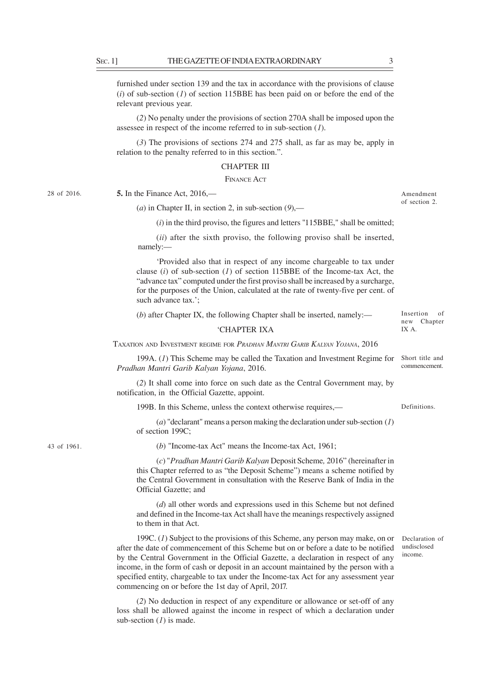furnished under section 139 and the tax in accordance with the provisions of clause (*i*) of sub-section (*1*) of section 115BBE has been paid on or before the end of the relevant previous year.

(*2*) No penalty under the provisions of section 270A shall be imposed upon the assessee in respect of the income referred to in sub-section (*1*).

(*3*) The provisions of sections 274 and 275 shall, as far as may be, apply in relation to the penalty referred to in this section.".

## CHAPTER III

#### FINANCE ACT

43 of 1961.

28 of 2016. **5.** In the Finance Act, 2016, of section 2.

(*a*) in Chapter II, in section 2, in sub-section (*9*),—

 $(i)$  in the third proviso, the figures and letters "115BBE," shall be omitted;

(*ii*) after the sixth proviso, the following proviso shall be inserted, namely:—

'Provided also that in respect of any income chargeable to tax under clause (*i*) of sub-section (*1*) of section 115BBE of the Income-tax Act, the "advance tax" computed under the first proviso shall be increased by a surcharge, for the purposes of the Union, calculated at the rate of twenty-five per cent. of such advance tax.';

(*b*) after Chapter IX, the following Chapter shall be inserted, namely:—

#### 'CHAPTER IXA

TAXATION AND INVESTMENT REGIME FOR *PRADHAN MANTRI GARIB KALYAN YOJANA*, 2016

199A. (*1*) This Scheme may be called the Taxation and Investment Regime for *Pradhan Mantri Garib Kalyan Yojana*, 2016.

(*2*) It shall come into force on such date as the Central Government may, by notification, in the Official Gazette, appoint.

199B. In this Scheme, unless the context otherwise requires,—

(*a*) "declarant" means a person making the declaration under sub-section (*1*) of section 199C;

(*b*) "Income-tax Act" means the Income-tax Act, 1961;

(*c*) "*Pradhan Mantri Garib Kalyan* Deposit Scheme*,* 2016" (hereinafter in this Chapter referred to as "the Deposit Scheme") means a scheme notified by the Central Government in consultation with the Reserve Bank of India in the Official Gazette; and

(*d*) all other words and expressions used in this Scheme but not defined and defined in the Income-tax Act shall have the meanings respectively assigned to them in that Act.

199C. (*1*) Subject to the provisions of this Scheme, any person may make, on or after the date of commencement of this Scheme but on or before a date to be notified by the Central Government in the Official Gazette, a declaration in respect of any income, in the form of cash or deposit in an account maintained by the person with a specified entity, chargeable to tax under the Income-tax Act for any assessment year commencing on or before the 1st day of April, 2017.

(*2*) No deduction in respect of any expenditure or allowance or set-off of any loss shall be allowed against the income in respect of which a declaration under sub-section (*1*) is made.

Insertion of new Chapter IX A.

Short title and commencement.

Definitions.

Declaration of undisclosed income.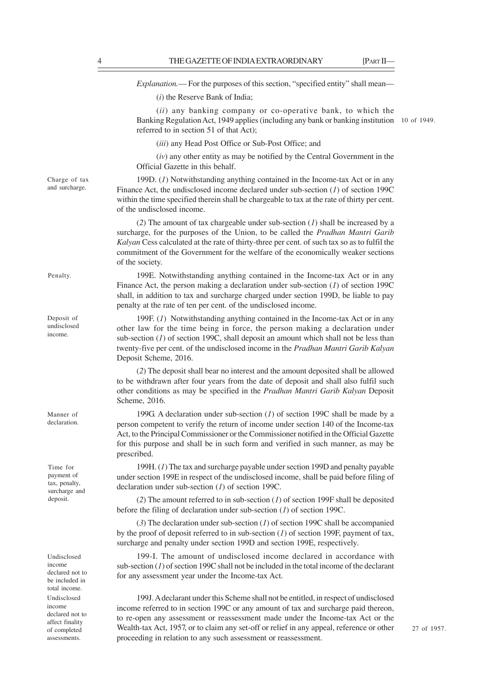*Explanation.*— For the purposes of this section, "specified entity" shall mean—

(*i*) the Reserve Bank of India;

(*ii*) any banking company or co-operative bank, to which the Banking Regulation Act, 1949 applies (including any bank or banking institution 10 of 1949. referred to in section 51 of that Act);

(*iii*) any Head Post Office or Sub-Post Office; and

(*iv*) any other entity as may be notified by the Central Government in the Official Gazette in this behalf.

199D. (*1*) Notwithstanding anything contained in the Income-tax Act or in any Finance Act, the undisclosed income declared under sub-section (*1*) of section 199C within the time specified therein shall be chargeable to tax at the rate of thirty per cent. of the undisclosed income.

(*2*) The amount of tax chargeable under sub-section (*1*) shall be increased by a surcharge, for the purposes of the Union, to be called the *Pradhan Mantri Garib Kalyan* Cess calculated at the rate of thirty-three per cent. of such tax so as to fulfil the commitment of the Government for the welfare of the economically weaker sections of the society.

199E. Notwithstanding anything contained in the Income-tax Act or in any Finance Act, the person making a declaration under sub-section (*1*) of section 199C shall, in addition to tax and surcharge charged under section 199D, be liable to pay penalty at the rate of ten per cent. of the undisclosed income.

199F. (*1*) Notwithstanding anything contained in the Income-tax Act or in any other law for the time being in force, the person making a declaration under sub-section (*1*) of section 199C, shall deposit an amount which shall not be less than twenty-five per cent. of the undisclosed income in the *Pradhan Mantri Garib Kalyan* Deposit Scheme, 2016.

(*2*) The deposit shall bear no interest and the amount deposited shall be allowed to be withdrawn after four years from the date of deposit and shall also fulfil such other conditions as may be specified in the *Pradhan Mantri Garib Kalyan* Deposit Scheme, 2016.

199G. A declaration under sub-section (*1*) of section 199C shall be made by a person competent to verify the return of income under section 140 of the Income-tax Act, to the Principal Commissioner or the Commissioner notified in the Official Gazette for this purpose and shall be in such form and verified in such manner, as may be prescribed.

199H. (*1*) The tax and surcharge payable under section 199D and penalty payable under section 199E in respect of the undisclosed income, shall be paid before filing of declaration under sub-section (*1*) of section 199C.

(*2*) The amount referred to in sub-section (*1*) of section 199F shall be deposited before the filing of declaration under sub-section (*1*) of section 199C.

(*3*) The declaration under sub-section (*1*) of section 199C shall be accompanied by the proof of deposit referred to in sub-section (*1*) of section 199F, payment of tax, surcharge and penalty under section 199D and section 199E, respectively.

199-I. The amount of undisclosed income declared in accordance with sub-section (*1*) of section 199C shall not be included in the total income of the declarant for any assessment year under the Income-tax Act.

199J. A declarant under this Scheme shall not be entitled, in respect of undisclosed income referred to in section 199C or any amount of tax and surcharge paid thereon, to re-open any assessment or reassessment made under the Income-tax Act or the Wealth-tax Act, 1957, or to claim any set-off or relief in any appeal, reference or other proceeding in relation to any such assessment or reassessment.

Charge of tax and surcharge.

Deposit of undisclosed

income.

Penalty.

Manner of declaration.

Time for payment of tax, penalty, surcharge and deposit.

Undisclosed income declared not to be included in total income. Undisclosed income declared not to affect finality of completed assessments.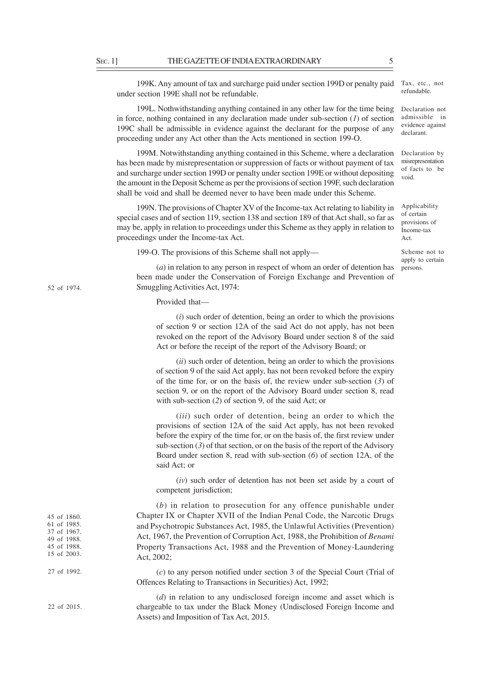Tax, etc., not refundable.

Declaration not admissible in evidence against declarant.

Declaration by misrepresentation of facts to be void.

Applicability of certain provisions of Income-tax Act.

199K. Any amount of tax and surcharge paid under section 199D or penalty paid under section 199E shall not be refundable.

199L. Nothwithstanding anything contained in any other law for the time being in force, nothing contained in any declaration made under sub-section (*1*) of section 199C shall be admissible in evidence against the declarant for the purpose of any proceeding under any Act other than the Acts mentioned in section 199-O.

199M. Notwithstanding anything contained in this Scheme, where a declaration has been made by misrepresentation or suppression of facts or without payment of tax and surcharge under section 199D or penalty under section 199E or without depositing the amount in the Deposit Scheme as per the provisions of section 199F, such declaration shall be void and shall be deemed never to have been made under this Scheme.

199N. The provisions of Chapter XV of the Income-tax Act relating to liability in special cases and of section 119, section 138 and section 189 of that Act shall, so far as may be, apply in relation to proceedings under this Scheme as they apply in relation to proceedings under the Income-tax Act.

199-O. The provisions of this Scheme shall not apply—

Scheme not to apply to certain persons.

(*a*) in relation to any person in respect of whom an order of detention has been made under the Conservation of Foreign Exchange and Prevention of Smuggling Activities Act, 1974:

Provided that—

(*i*) such order of detention, being an order to which the provisions of section 9 or section 12A of the said Act do not apply, has not been revoked on the report of the Advisory Board under section 8 of the said Act or before the receipt of the report of the Advisory Board; or

(*ii*) such order of detention, being an order to which the provisions of section 9 of the said Act apply, has not been revoked before the expiry of the time for, or on the basis of, the review under sub-section (*3*) of section 9, or on the report of the Advisory Board under section 8, read with sub-section (*2*) of section 9, of the said Act; or

(*iii*) such order of detention, being an order to which the provisions of section 12A of the said Act apply, has not been revoked before the expiry of the time for, or on the basis of, the first review under sub-section (*3*) of that section, or on the basis of the report of the Advisory Board under section 8, read with sub-section (*6*) of section 12A, of the said Act; or

(*iv*) such order of detention has not been set aside by a court of competent jurisdiction;

(*b*) in relation to prosecution for any offence punishable under Chapter IX or Chapter XVII of the Indian Penal Code, the Narcotic Drugs and Psychotropic Substances Act, 1985, the Unlawful Activities (Prevention) Act, 1967, the Prevention of Corruption Act, 1988, the Prohibition of *Benami* Property Transactions Act, 1988 and the Prevention of Money-Laundering Act, 2002;

(*c*) to any person notified under section 3 of the Special Court (Trial of Offences Relating to Transactions in Securities) Act, 1992;

(*d*) in relation to any undisclosed foreign income and asset which is chargeable to tax under the Black Money (Undisclosed Foreign Income and Assets) and Imposition of Tax Act, 2015.

52 of 1974.

45 of 1860. 61 of 1985. 37 of 1967. 49 of 1988. 45 of 1988. 15 of 2003. 27 of 1992.

22 of 2015.